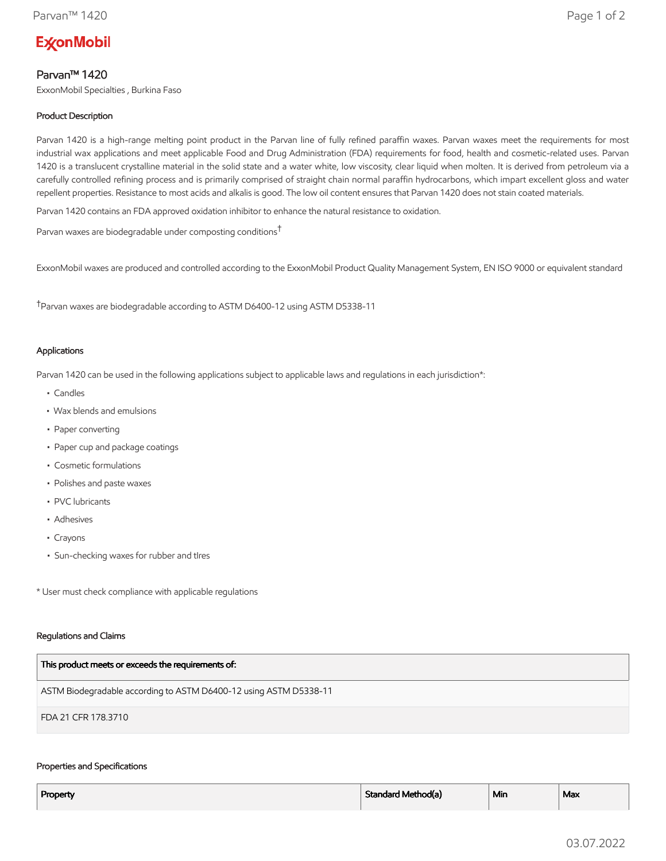# **ExconMobil**

## Parvan™ 1420

ExxonMobil Specialties , Burkina Faso

## Product Description

Parvan 1420 is a high-range melting point product in the Parvan line of fully refined paraffin waxes. Parvan waxes meet the requirements for most industrial wax applications and meet applicable Food and Drug Administration (FDA) requirements for food, health and cosmetic-related uses. Parvan 1420 is a translucent crystalline material in the solid state and a water white, low viscosity, clear liquid when molten. It is derived from petroleum via a carefully controlled refining process and is primarily comprised of straight chain normal paraffin hydrocarbons, which impart excellent gloss and water repellent properties. Resistance to most acids and alkalis is good. The low oil content ensures that Parvan 1420 does not stain coated materials.

Parvan 1420 contains an FDA approved oxidation inhibitor to enhance the natural resistance to oxidation.

Parvan waxes are biodegradable under composting conditions†

ExxonMobil waxes are produced and controlled according to the ExxonMobil Product Quality Management System, EN ISO 9000 or equivalent standard

†Parvan waxes are biodegradable according to ASTM D6400-12 using ASTM D5338-11

#### Applications

Parvan 1420 can be used in the following applications subject to applicable laws and regulations in each jurisdiction\*:

- Candles
- Wax blends and emulsions
- Paper converting
- Paper cup and package coatings
- Cosmetic formulations
- Polishes and paste waxes
- PVC lubricants
- Adhesives
- Crayons
- Sun-checking waxes for rubber and tIres

\* User must check compliance with applicable regulations

#### Regulations and Claims

| This product meets or exceeds the requirements of:                |
|-------------------------------------------------------------------|
| ASTM Biodegradable according to ASTM D6400-12 using ASTM D5338-11 |
| FDA 21 CFR 178.3710                                               |

#### Properties and Specifications

| Property | Standard Method(a) | <sup>⊥</sup> Min | Max |
|----------|--------------------|------------------|-----|
|          |                    |                  |     |